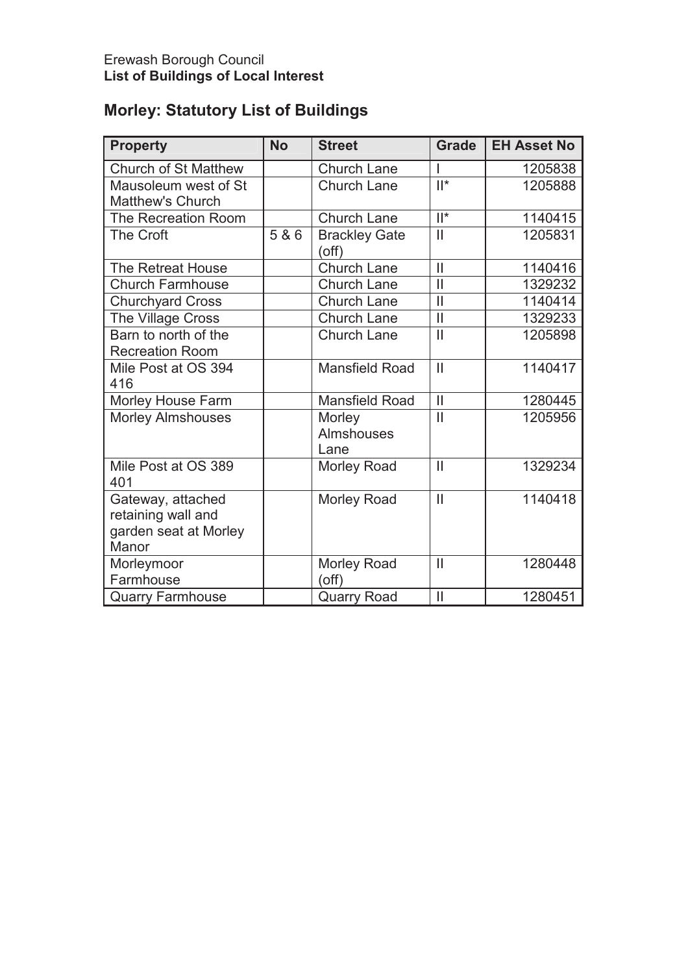# **Morley: Statutory List of Buildings**

| <b>Property</b>             | <b>No</b> | <b>Street</b>         | <b>Grade</b>              | <b>EH Asset No</b> |
|-----------------------------|-----------|-----------------------|---------------------------|--------------------|
|                             |           |                       |                           |                    |
| <b>Church of St Matthew</b> |           | <b>Church Lane</b>    |                           | 1205838            |
| Mausoleum west of St        |           | <b>Church Lane</b>    | $\overline{\mathbb{I}^*}$ | 1205888            |
| <b>Matthew's Church</b>     |           |                       |                           |                    |
| The Recreation Room         |           | <b>Church Lane</b>    | $  ^*$                    | 1140415            |
| The Croft                   | 5 & 6     | <b>Brackley Gate</b>  | $\mathbf{I}$              | 1205831            |
|                             |           | (off)                 |                           |                    |
| The Retreat House           |           | <b>Church Lane</b>    | $\mathbf{I}$              | 1140416            |
| <b>Church Farmhouse</b>     |           | <b>Church Lane</b>    | $\mathbf{I}$              | 1329232            |
| <b>Churchyard Cross</b>     |           | <b>Church Lane</b>    | $\overline{\mathbf{I}}$   | 1140414            |
| The Village Cross           |           | <b>Church Lane</b>    | $\mathbf{I}$              | 1329233            |
| Barn to north of the        |           | <b>Church Lane</b>    | $\mathbf{I}$              | 1205898            |
| <b>Recreation Room</b>      |           |                       |                           |                    |
| Mile Post at OS 394         |           | <b>Mansfield Road</b> | $\mathbf{I}$              | 1140417            |
| 416                         |           |                       |                           |                    |
| Morley House Farm           |           | <b>Mansfield Road</b> | $\mathbf{I}$              | 1280445            |
| <b>Morley Almshouses</b>    |           | Morley                | $\mathbf{I}$              | 1205956            |
|                             |           | <b>Almshouses</b>     |                           |                    |
|                             |           | Lane                  |                           |                    |
| Mile Post at OS 389         |           | <b>Morley Road</b>    | $\mathbf{I}$              | 1329234            |
| 401                         |           |                       |                           |                    |
| Gateway, attached           |           | Morley Road           | $\mathbf{I}$              | 1140418            |
| retaining wall and          |           |                       |                           |                    |
| garden seat at Morley       |           |                       |                           |                    |
| Manor                       |           |                       |                           |                    |
| Morleymoor                  |           | <b>Morley Road</b>    | $\mathbf{I}$              | 1280448            |
| Farmhouse                   |           | (off)                 |                           |                    |
| <b>Quarry Farmhouse</b>     |           | <b>Quarry Road</b>    | $\mathbf{I}$              | 1280451            |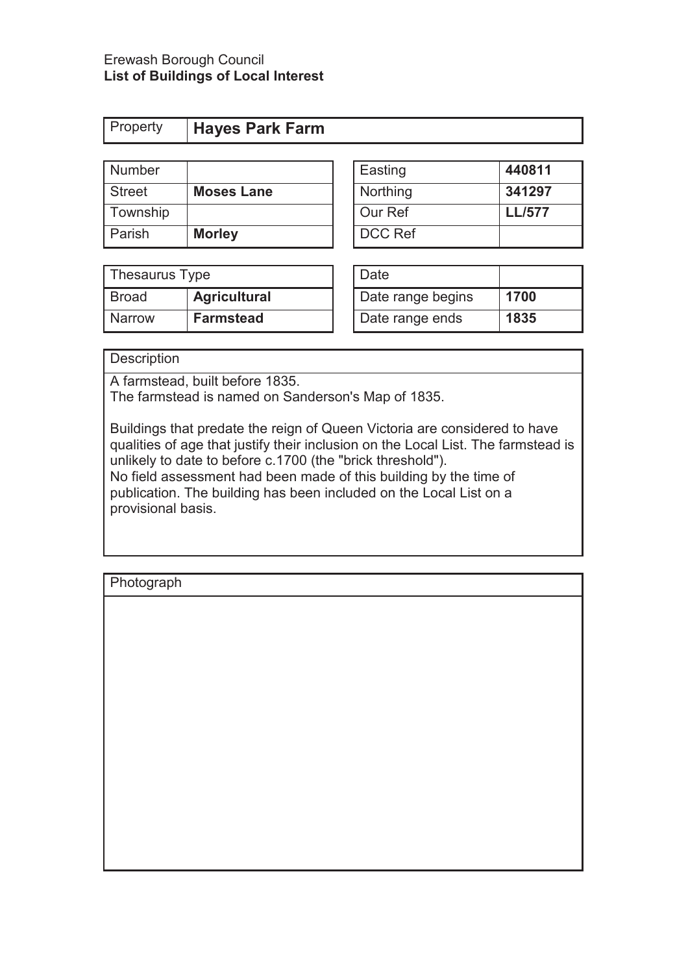| <b>Property Hayes Park Farm</b> |
|---------------------------------|
|---------------------------------|

| Number   |                   | Easting        | 440811        |
|----------|-------------------|----------------|---------------|
| Street   | <b>Moses Lane</b> | Northing       | 341297        |
| Township |                   | Our Ref        | <b>LL/577</b> |
| Parish   | <b>Morley</b>     | <b>DCC Ref</b> |               |

| Easting        | 440811        |
|----------------|---------------|
| Northing       | 341297        |
| Our Ref        | <b>LL/577</b> |
| <b>DCC Ref</b> |               |

| Thesaurus Type |                     | Date              |      |
|----------------|---------------------|-------------------|------|
| Broad          | <b>Agricultural</b> | Date range begins | 1700 |
| <b>Narrow</b>  | <b>Farmstead</b>    | Date range ends   | 1835 |

| Date              |      |
|-------------------|------|
| Date range begins | 1700 |
| Date range ends   | 1835 |

## **Description**

A farmstead, built before 1835.

The farmstead is named on Sanderson's Map of 1835.

Buildings that predate the reign of Queen Victoria are considered to have qualities of age that justify their inclusion on the Local List. The farmstead is unlikely to date to before c.1700 (the "brick threshold").

No field assessment had been made of this building by the time of publication. The building has been included on the Local List on a provisional basis.

**Photograph** 

| i ilotographi |  |
|---------------|--|
|               |  |
|               |  |
|               |  |
|               |  |
|               |  |
|               |  |
|               |  |
|               |  |
|               |  |
|               |  |
|               |  |
|               |  |
|               |  |
|               |  |
|               |  |
|               |  |
|               |  |
|               |  |
|               |  |
|               |  |
|               |  |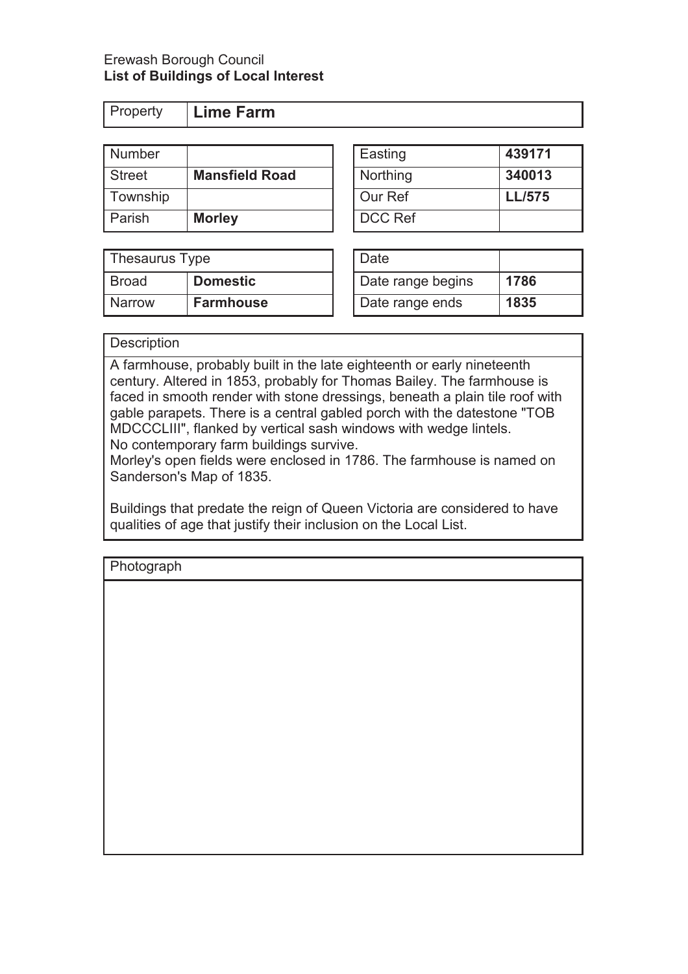| Property | Lime Farm |
|----------|-----------|
|          |           |

| Number        |                       | Easting        | 439171        |
|---------------|-----------------------|----------------|---------------|
| <b>Street</b> | <b>Mansfield Road</b> | Northing       | 340013        |
| Township      |                       | Our Ref        | <b>LL/575</b> |
| Parish        | <b>Morley</b>         | <b>DCC Ref</b> |               |

| Thesaurus Type |                  | Date              |      |
|----------------|------------------|-------------------|------|
| Broad          | <b>Domestic</b>  | Date range begins | 1786 |
| Narrow         | <b>Farmhouse</b> | Date range ends   | 1835 |

| <b>Easting</b> | 439171        |
|----------------|---------------|
| Northing       | 340013        |
| Our Ref        | <b>LL/575</b> |
| DCC Ref        |               |
|                |               |

| Date              |      |
|-------------------|------|
| Date range begins | 1786 |
| Date range ends   | 1835 |

# **Description**

A farmhouse, probably built in the late eighteenth or early nineteenth century. Altered in 1853, probably for Thomas Bailey. The farmhouse is faced in smooth render with stone dressings, beneath a plain tile roof with gable parapets. There is a central gabled porch with the datestone "TOB MDCCCLIII", flanked by vertical sash windows with wedge lintels. No contemporary farm buildings survive.

Morley's open fields were enclosed in 1786. The farmhouse is named on Sanderson's Map of 1835.

Buildings that predate the reign of Queen Victoria are considered to have qualities of age that justify their inclusion on the Local List.

Photograph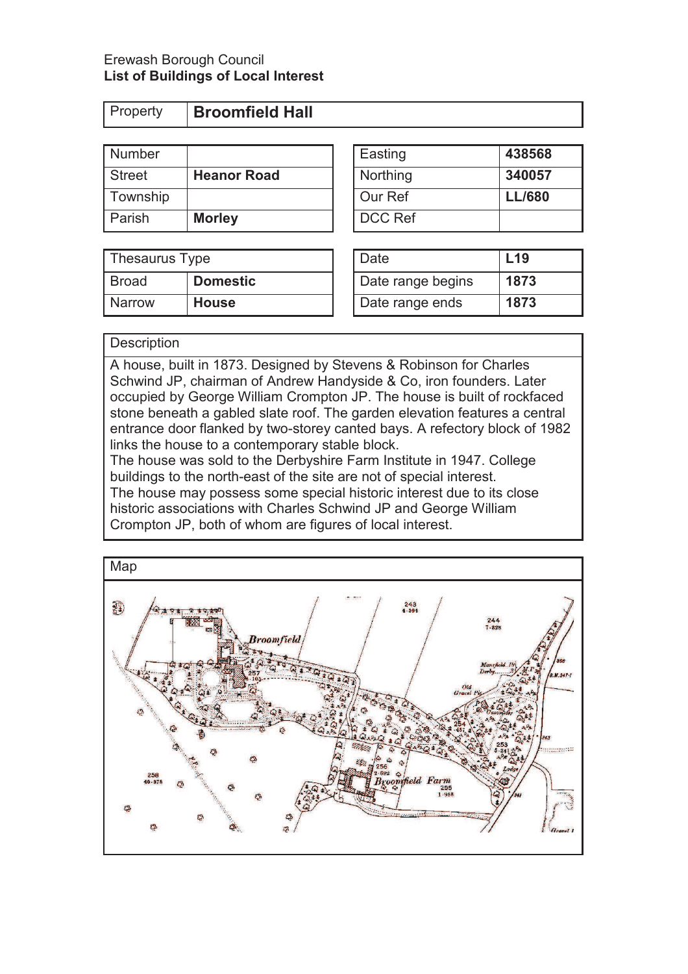**Property Broomfield Hall** 

| Number        |                    | Easting        | 438568        |
|---------------|--------------------|----------------|---------------|
| <b>Street</b> | <b>Heanor Road</b> | Northing       | 340057        |
| Township      |                    | Our Ref        | <b>LL/680</b> |
| Parish        | <b>Morley</b>      | <b>DCC Ref</b> |               |

| Thesaurus Type |                 | Date              | $L$ 19 |
|----------------|-----------------|-------------------|--------|
| Broad          | <b>Domestic</b> | Date range begins | 1873   |
| <b>Narrow</b>  | <b>House</b>    | Date range ends   | 1873   |

| Easting  | 438568        |
|----------|---------------|
| Northing | 340057        |
| Our Ref  | <b>LL/680</b> |
| DCC Ref  |               |

| Date              | L <sub>19</sub> |
|-------------------|-----------------|
| Date range begins | 1873            |
| Date range ends   | 1873            |

## **Description**

A house, built in 1873. Designed by Stevens & Robinson for Charles Schwind JP, chairman of Andrew Handyside & Co, iron founders. Later occupied by George William Crompton JP. The house is built of rockfaced stone beneath a gabled slate roof. The garden elevation features a central entrance door flanked by two-storey canted bays. A refectory block of 1982 links the house to a contemporary stable block.

The house was sold to the Derbyshire Farm Institute in 1947. College buildings to the north-east of the site are not of special interest.

The house may possess some special historic interest due to its close historic associations with Charles Schwind JP and George William Crompton JP, both of whom are figures of local interest.